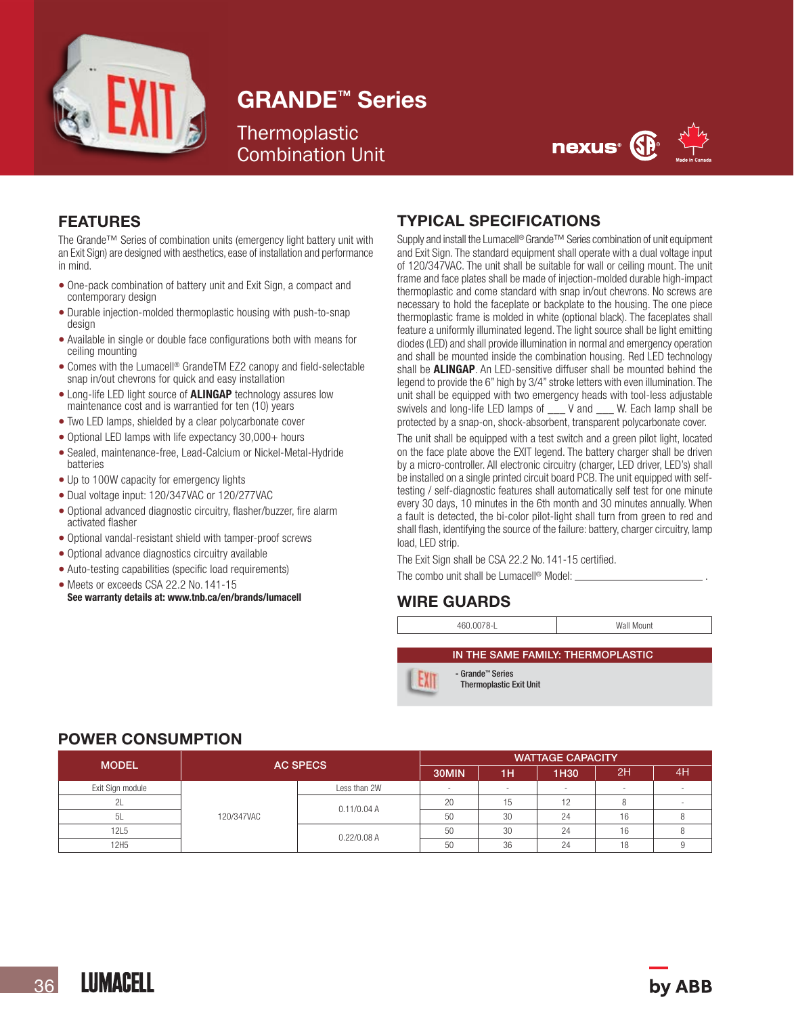

## GRANDE™ Series

## **Thermoplastic** Combination Unit



### FEATURES

The Grande™ Series of combination units (emergency light battery unit with an Exit Sign) are designed with aesthetics, ease of installation and performance in mind.

- One-pack combination of battery unit and Exit Sign, a compact and contemporary design
- Durable injection-molded thermoplastic housing with push-to-snap design
- Available in single or double face configurations both with means for ceiling mounting
- Comes with the Lumacell® GrandeTM EZ2 canopy and field-selectable snap in/out chevrons for quick and easy installation
- Long-life LED light source of **ALINGAP** technology assures low maintenance cost and is warrantied for ten (10) years
- Two LED lamps, shielded by a clear polycarbonate cover
- Optional LED lamps with life expectancy 30,000+ hours
- Sealed, maintenance-free, Lead-Calcium or Nickel-Metal-Hydride batteries
- Up to 100W capacity for emergency lights
- Dual voltage input: 120/347VAC or 120/277VAC
- Optional advanced diagnostic circuitry, flasher/buzzer, fire alarm activated flasher
- Optional vandal-resistant shield with tamper-proof screws
- Optional advance diagnostics circuitry available
- Auto-testing capabilities (specific load requirements)
- Meets or exceeds CSA 22.2 No. 141-15<br>See warranty details at: www.tnb.ca/en/brands/lumacell

#### TYPICAL SPECIFICATIONS

Supply and install the Lumacell® Grande<sup>™</sup> Series combination of unit equipment and Exit Sign. The standard equipment shall operate with a dual voltage input of 120/347VAC. The unit shall be suitable for wall or ceiling mount. The unit frame and face plates shall be made of injection-molded durable high-impact thermoplastic and come standard with snap in/out chevrons. No screws are necessary to hold the faceplate or backplate to the housing. The one piece thermoplastic frame is molded in white (optional black). The faceplates shall feature a uniformly illuminated legend. The light source shall be light emitting diodes (LED) and shall provide illumination in normal and emergency operation and shall be mounted inside the combination housing. Red LED technology shall be **ALINGAP**. An LED-sensitive diffuser shall be mounted behind the legend to provide the 6" high by 3/4" stroke letters with even illumination. The unit shall be equipped with two emergency heads with tool-less adjustable swivels and long-life LED lamps of \_\_\_ V and \_\_\_ W. Each lamp shall be protected by a snap-on, shock-absorbent, transparent polycarbonate cover.

The unit shall be equipped with a test switch and a green pilot light, located on the face plate above the EXIT legend. The battery charger shall be driven by a micro-controller. All electronic circuitry (charger, LED driver, LED's) shall be installed on a single printed circuit board PCB. The unit equipped with selftesting / self-diagnostic features shall automatically self test for one minute every 30 days, 10 minutes in the 6th month and 30 minutes annually. When a fault is detected, the bi-color pilot-light shall turn from green to red and shall flash, identifying the source of the failure: battery, charger circuitry, lamp load, LED strip.

The Exit Sign shall be CSA 22.2 No. 141-15 certified.

The combo unit shall be Lumacell<sup>®</sup> Model: \_

## WIRE GUARDS

460.0078-L Wall Mount

IN THE SAME FAMILY: THERMOPLASTIC



- Grande™ Series Thermoplastic Exit Unit

#### POWER CONSUMPTION

| <b>MODEL</b>     | <b>AC SPECS</b> |               | <b>WATTAGE CAPACITY</b> |    |      |     |    |
|------------------|-----------------|---------------|-------------------------|----|------|-----|----|
|                  |                 |               | 30MIN                   | 1H | 1H30 | ι2Η | 4H |
| Exit Sign module | 120/347VAC      | Less than 2W  | -                       | -  | -    | -   |    |
| 2L               |                 | 0.11/0.04 A   | 20                      | 15 | 12   |     |    |
| - 5L             |                 |               | 50                      | 30 | 24   | 16  |    |
| 12L5             |                 | $0.22/0.08$ A | 50                      | 30 | 24   | 16  |    |
| 12H <sub>5</sub> |                 |               | 50                      | 36 | 24   | 18  |    |